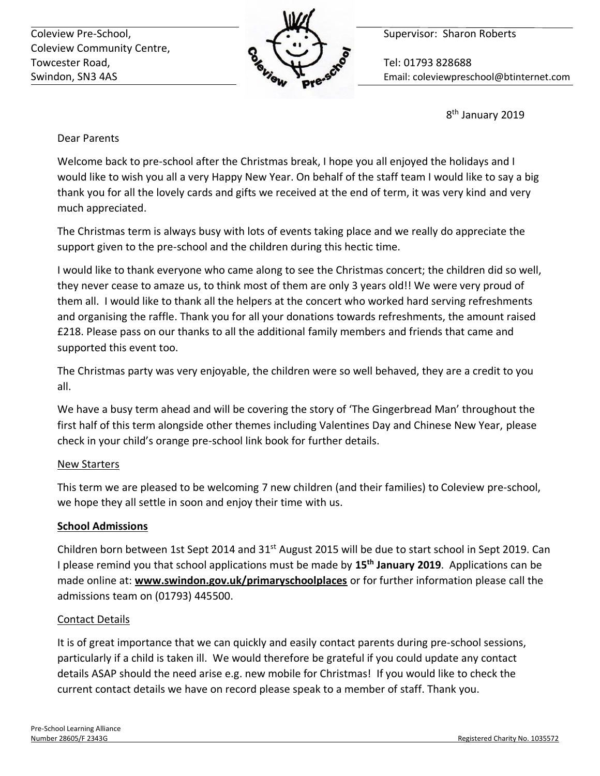Coleview Pre-School, **Supervisor: Sharon Roberts** Supervisor: Sharon Roberts Coleview Community Centre, Towcester Road, **The Contract of Tel: 01793 828688** 



Swindon, SN3 4AS Email: coleviewpreschool@btinternet.com

8<sup>th</sup> January 2019

## Dear Parents

Welcome back to pre-school after the Christmas break, I hope you all enjoyed the holidays and I would like to wish you all a very Happy New Year. On behalf of the staff team I would like to say a big thank you for all the lovely cards and gifts we received at the end of term, it was very kind and very much appreciated.

The Christmas term is always busy with lots of events taking place and we really do appreciate the support given to the pre-school and the children during this hectic time.

I would like to thank everyone who came along to see the Christmas concert; the children did so well, they never cease to amaze us, to think most of them are only 3 years old!! We were very proud of them all. I would like to thank all the helpers at the concert who worked hard serving refreshments and organising the raffle. Thank you for all your donations towards refreshments, the amount raised £218. Please pass on our thanks to all the additional family members and friends that came and supported this event too.

The Christmas party was very enjoyable, the children were so well behaved, they are a credit to you all.

We have a busy term ahead and will be covering the story of 'The Gingerbread Man' throughout the first half of this term alongside other themes including Valentines Day and Chinese New Year, please check in your child's orange pre-school link book for further details.

## New Starters

This term we are pleased to be welcoming 7 new children (and their families) to Coleview pre-school, we hope they all settle in soon and enjoy their time with us.

## **School Admissions**

Children born between 1st Sept 2014 and 31<sup>st</sup> August 2015 will be due to start school in Sept 2019. Can I please remind you that school applications must be made by **15th January 2019**. Applications can be made online at: **www.swindon.gov.uk/primaryschoolplaces** or for further information please call the admissions team on (01793) 445500.

## Contact Details

It is of great importance that we can quickly and easily contact parents during pre-school sessions, particularly if a child is taken ill. We would therefore be grateful if you could update any contact details ASAP should the need arise e.g. new mobile for Christmas! If you would like to check the current contact details we have on record please speak to a member of staff. Thank you.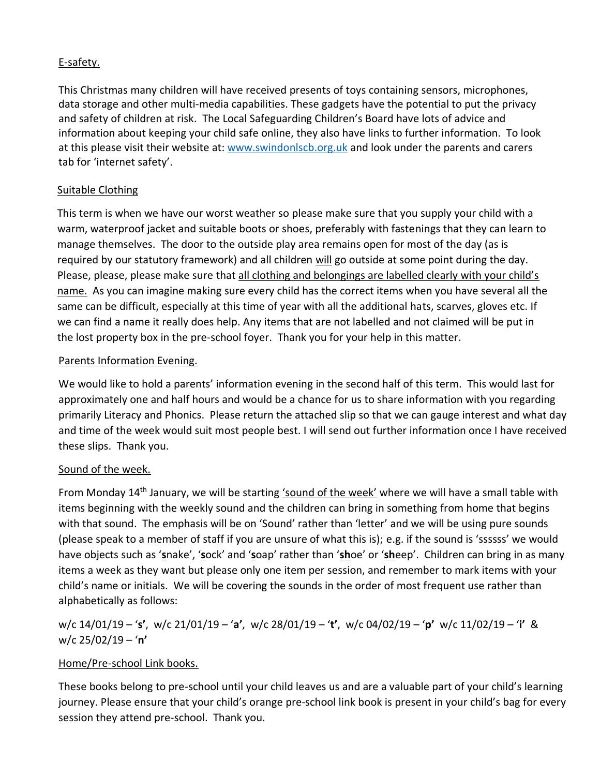## E-safety.

This Christmas many children will have received presents of toys containing sensors, microphones, data storage and other multi-media capabilities. These gadgets have the potential to put the privacy and safety of children at risk. The Local Safeguarding Children's Board have lots of advice and information about keeping your child safe online, they also have links to further information. To look at this please visit their website at: [www.swindonlscb.org.uk](http://www.swindonlscb.org.uk/) and look under the parents and carers tab for 'internet safety'.

#### Suitable Clothing

This term is when we have our worst weather so please make sure that you supply your child with a warm, waterproof jacket and suitable boots or shoes, preferably with fastenings that they can learn to manage themselves. The door to the outside play area remains open for most of the day (as is required by our statutory framework) and all children will go outside at some point during the day. Please, please, please make sure that all clothing and belongings are labelled clearly with your child's name. As you can imagine making sure every child has the correct items when you have several all the same can be difficult, especially at this time of year with all the additional hats, scarves, gloves etc. If we can find a name it really does help. Any items that are not labelled and not claimed will be put in the lost property box in the pre-school foyer. Thank you for your help in this matter.

#### Parents Information Evening.

We would like to hold a parents' information evening in the second half of this term. This would last for approximately one and half hours and would be a chance for us to share information with you regarding primarily Literacy and Phonics. Please return the attached slip so that we can gauge interest and what day and time of the week would suit most people best. I will send out further information once I have received these slips. Thank you.

## Sound of the week.

From Monday 14th January, we will be starting 'sound of the week' where we will have a small table with items beginning with the weekly sound and the children can bring in something from home that begins with that sound. The emphasis will be on 'Sound' rather than 'letter' and we will be using pure sounds (please speak to a member of staff if you are unsure of what this is); e.g. if the sound is 'ssssss' we would have objects such as '**s**nake', '**s**ock' and '**s**oap' rather than '**sh**oe' or '**sh**eep'. Children can bring in as many items a week as they want but please only one item per session, and remember to mark items with your child's name or initials. We will be covering the sounds in the order of most frequent use rather than alphabetically as follows:

## w/c 14/01/19 – '**s'**, w/c 21/01/19 – '**a'**, w/c 28/01/19 – '**t'**, w/c 04/02/19 – '**p'** w/c 11/02/19 – '**i'** & w/c 25/02/19 – '**n'**

## Home/Pre-school Link books.

These books belong to pre-school until your child leaves us and are a valuable part of your child's learning journey. Please ensure that your child's orange pre-school link book is present in your child's bag for every session they attend pre-school. Thank you.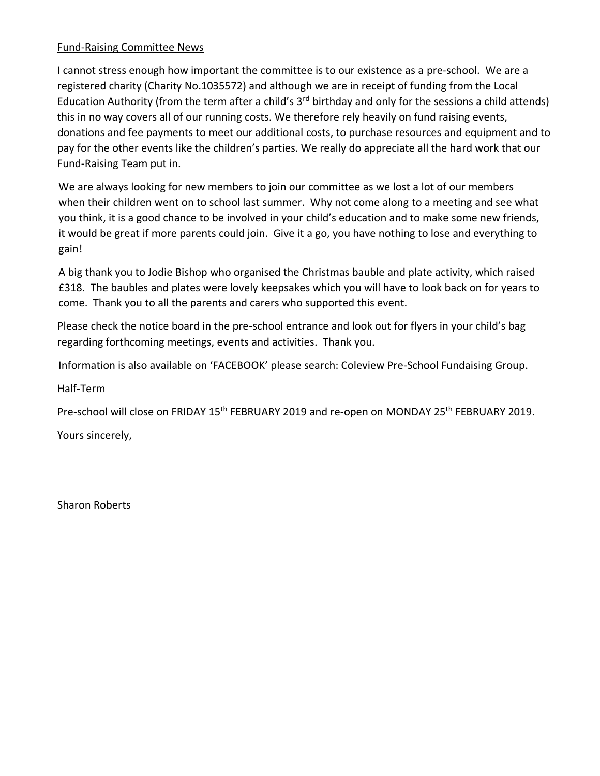#### Fund-Raising Committee News

I cannot stress enough how important the committee is to our existence as a pre-school. We are a registered charity (Charity No.1035572) and although we are in receipt of funding from the Local Education Authority (from the term after a child's  $3<sup>rd</sup>$  birthday and only for the sessions a child attends) this in no way covers all of our running costs. We therefore rely heavily on fund raising events, donations and fee payments to meet our additional costs, to purchase resources and equipment and to pay for the other events like the children's parties. We really do appreciate all the hard work that our Fund-Raising Team put in.

We are always looking for new members to join our committee as we lost a lot of our members when their children went on to school last summer. Why not come along to a meeting and see what you think, it is a good chance to be involved in your child's education and to make some new friends, it would be great if more parents could join. Give it a go, you have nothing to lose and everything to gain!

A big thank you to Jodie Bishop who organised the Christmas bauble and plate activity, which raised £318. The baubles and plates were lovely keepsakes which you will have to look back on for years to come. Thank you to all the parents and carers who supported this event.

Please check the notice board in the pre-school entrance and look out for flyers in your child's bag regarding forthcoming meetings, events and activities. Thank you.

Information is also available on 'FACEBOOK' please search: Coleview Pre-School Fundaising Group.

#### Half-Term

Pre-school will close on FRIDAY 15<sup>th</sup> FEBRUARY 2019 and re-open on MONDAY 25<sup>th</sup> FEBRUARY 2019.

Yours sincerely,

Sharon Roberts